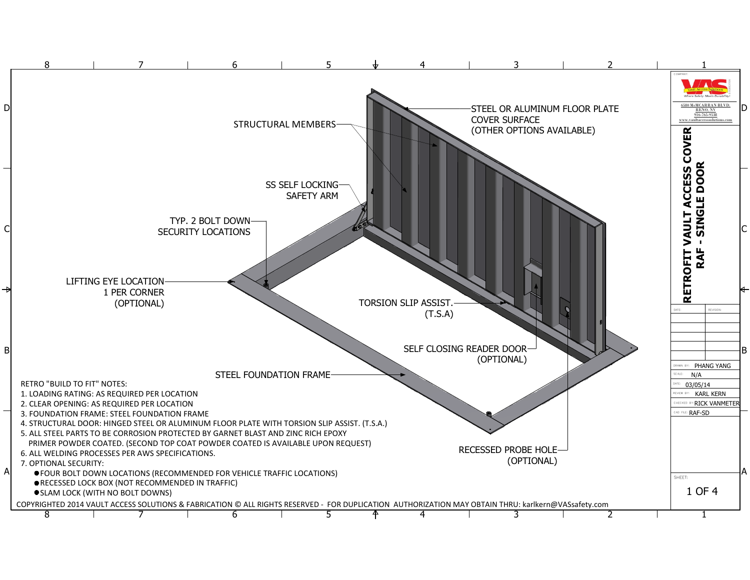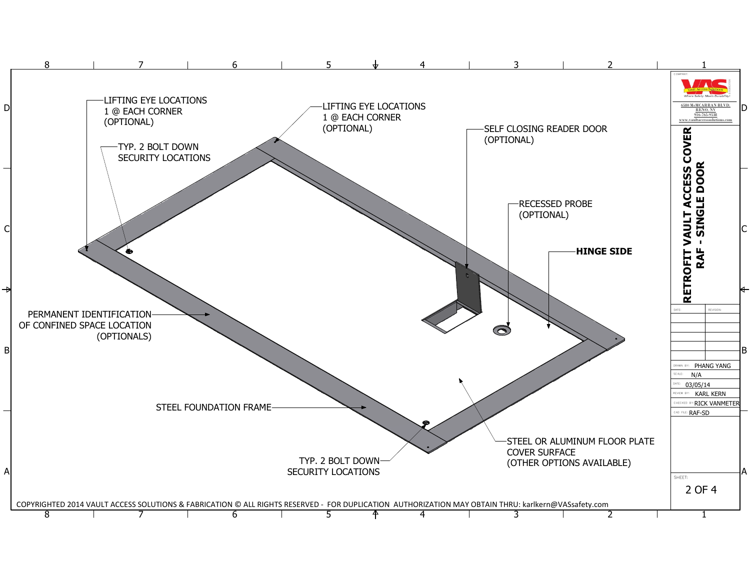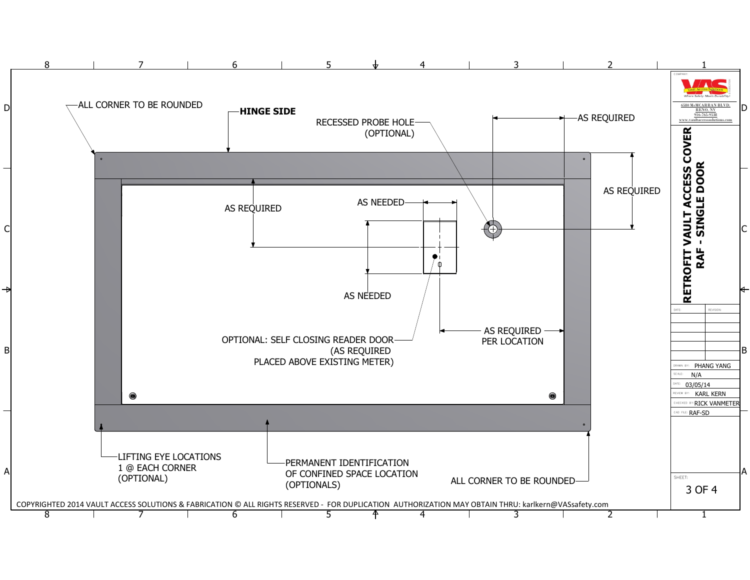